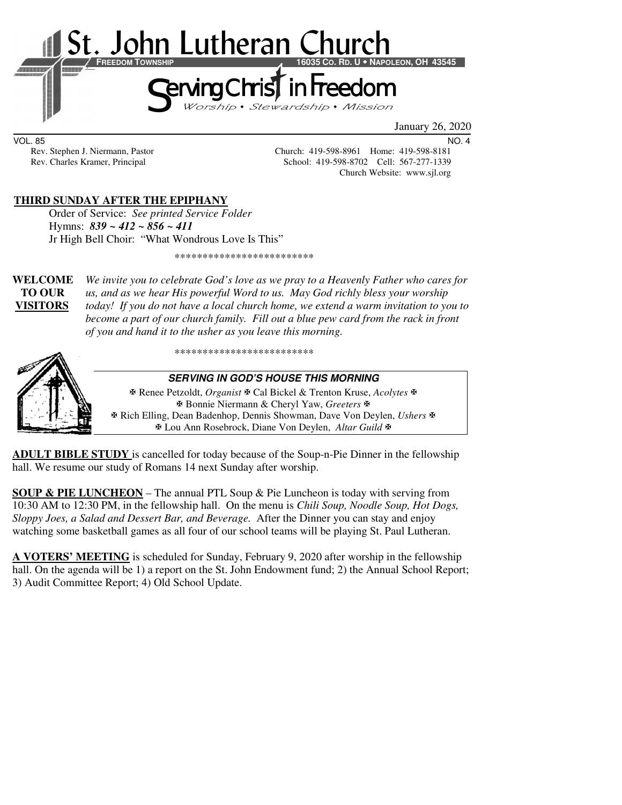

VOL. 85 NO. 4

Rev. Stephen J. Niermann, Pastor Church: 419-598-8961 Home: 419-598-8181 Rev. Charles Kramer, Principal School: 419-598-8702 Cell: 567-277-1339 Church Website: www.sjl.org

#### **THIRD SUNDAY AFTER THE EPIPHANY**

 Order of Service: *See printed Service Folder*  Hymns: *839 ~ 412 ~ 856 ~ 411* Jr High Bell Choir: "What Wondrous Love Is This"

\*\*\*\*\*\*\*\*\*\*\*\*\*\*\*\*\*\*\*\*\*\*\*\*\*

**WELCOME** *We invite you to celebrate God's love as we pray to a Heavenly Father who cares for* **TO OUR** *us, and as we hear His powerful Word to us. May God richly bless your worship*  **VISITORS** *today! If you do not have a local church home, we extend a warm invitation to you to become a part of our church family. Fill out a blue pew card from the rack in front of you and hand it to the usher as you leave this morning.* 

\*\*\*\*\*\*\*\*\*\*\*\*\*\*\*\*\*\*\*\*\*\*\*\*\*



**SERVING IN GOD'S HOUSE THIS MORNING** 

 Renee Petzoldt, *Organist* Cal Bickel & Trenton Kruse, *Acolytes* Bonnie Niermann & Cheryl Yaw, *Greeters* Rich Elling, Dean Badenhop, Dennis Showman, Dave Von Deylen, *Ushers* Lou Ann Rosebrock, Diane Von Deylen, *Altar Guild*

**ADULT BIBLE STUDY** is cancelled for today because of the Soup-n-Pie Dinner in the fellowship hall. We resume our study of Romans 14 next Sunday after worship.

**SOUP & PIE LUNCHEON** – The annual PTL Soup & Pie Luncheon is today with serving from 10:30 AM to 12:30 PM, in the fellowship hall. On the menu is *Chili Soup, Noodle Soup, Hot Dogs, Sloppy Joes, a Salad and Dessert Bar, and Beverage.* After the Dinner you can stay and enjoy watching some basketball games as all four of our school teams will be playing St. Paul Lutheran.

**A VOTERS' MEETING** is scheduled for Sunday, February 9, 2020 after worship in the fellowship hall. On the agenda will be 1) a report on the St. John Endowment fund; 2) the Annual School Report; 3) Audit Committee Report; 4) Old School Update.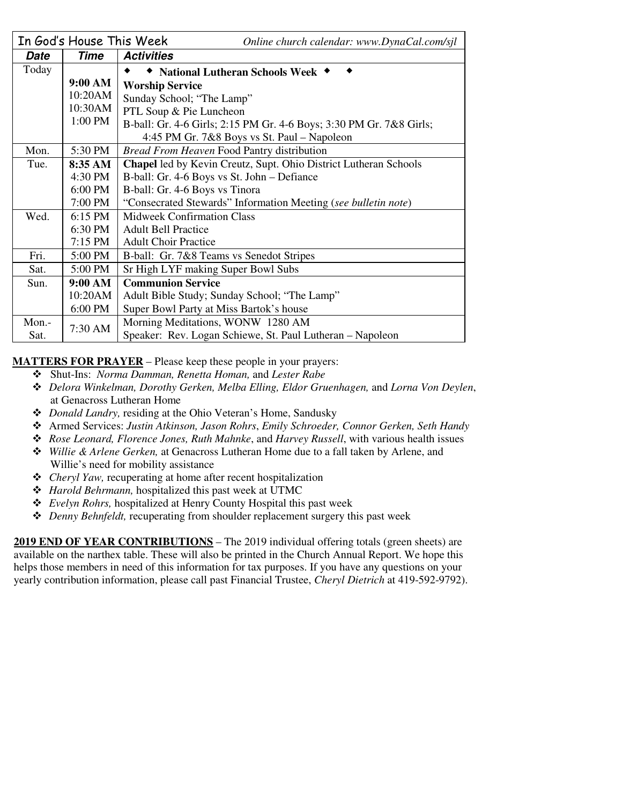|       | In God's House This Week | Online church calendar: www.DynaCal.com/sjl                         |  |  |
|-------|--------------------------|---------------------------------------------------------------------|--|--|
| Date  | Time                     | <b>Activities</b>                                                   |  |  |
| Today |                          | National Lutheran Schools Week ◆                                    |  |  |
|       | 9:00 AM                  | <b>Worship Service</b>                                              |  |  |
|       | 10:20AM                  | Sunday School; "The Lamp"                                           |  |  |
|       | 10:30AM                  | PTL Soup & Pie Luncheon                                             |  |  |
|       | 1:00 PM                  | B-ball: Gr. 4-6 Girls; 2:15 PM Gr. 4-6 Boys; 3:30 PM Gr. 7&8 Girls; |  |  |
|       |                          | 4:45 PM Gr. 7&8 Boys vs St. Paul – Napoleon                         |  |  |
| Mon.  | 5:30 PM                  | <b>Bread From Heaven Food Pantry distribution</b>                   |  |  |
| Tue.  | 8:35 AM                  | Chapel led by Kevin Creutz, Supt. Ohio District Lutheran Schools    |  |  |
|       | 4:30 PM                  | B-ball: Gr. 4-6 Boys vs St. John – Defiance                         |  |  |
|       | 6:00 PM                  | B-ball: Gr. 4-6 Boys vs Tinora                                      |  |  |
|       | 7:00 PM                  | "Consecrated Stewards" Information Meeting (see bulletin note)      |  |  |
| Wed.  | 6:15 PM                  | <b>Midweek Confirmation Class</b>                                   |  |  |
|       | 6:30 PM                  | <b>Adult Bell Practice</b>                                          |  |  |
|       | $7:15$ PM                | <b>Adult Choir Practice</b>                                         |  |  |
| Fri.  | 5:00 PM                  | B-ball: Gr. 7&8 Teams vs Senedot Stripes                            |  |  |
| Sat.  | 5:00 PM                  | Sr High LYF making Super Bowl Subs                                  |  |  |
| Sun.  | 9:00 AM                  | <b>Communion Service</b>                                            |  |  |
|       | 10:20AM                  | Adult Bible Study; Sunday School; "The Lamp"                        |  |  |
|       | 6:00 PM                  | Super Bowl Party at Miss Bartok's house                             |  |  |
| Mon.- | 7:30 AM                  | Morning Meditations, WONW 1280 AM                                   |  |  |
| Sat.  |                          | Speaker: Rev. Logan Schiewe, St. Paul Lutheran - Napoleon           |  |  |

**MATTERS FOR PRAYER** – Please keep these people in your prayers:

- Shut-Ins: *Norma Damman, Renetta Homan,* and *Lester Rabe*
- *Delora Winkelman, Dorothy Gerken, Melba Elling, Eldor Gruenhagen,* and *Lorna Von Deylen*, at Genacross Lutheran Home
- *Donald Landry,* residing at the Ohio Veteran's Home, Sandusky
- Armed Services: *Justin Atkinson, Jason Rohrs*, *Emily Schroeder, Connor Gerken, Seth Handy*
- *Rose Leonard, Florence Jones, Ruth Mahnke*, and *Harvey Russell*, with various health issues
- *Willie & Arlene Gerken,* at Genacross Lutheran Home due to a fall taken by Arlene, and Willie's need for mobility assistance
- *Cheryl Yaw,* recuperating at home after recent hospitalization
- *Harold Behrmann,* hospitalized this past week at UTMC
- *Evelyn Rohrs,* hospitalized at Henry County Hospital this past week
- *Denny Behnfeldt,* recuperating from shoulder replacement surgery this past week

**2019 END OF YEAR CONTRIBUTIONS** – The 2019 individual offering totals (green sheets) are available on the narthex table. These will also be printed in the Church Annual Report. We hope this helps those members in need of this information for tax purposes. If you have any questions on your yearly contribution information, please call past Financial Trustee, *Cheryl Dietrich* at 419-592-9792).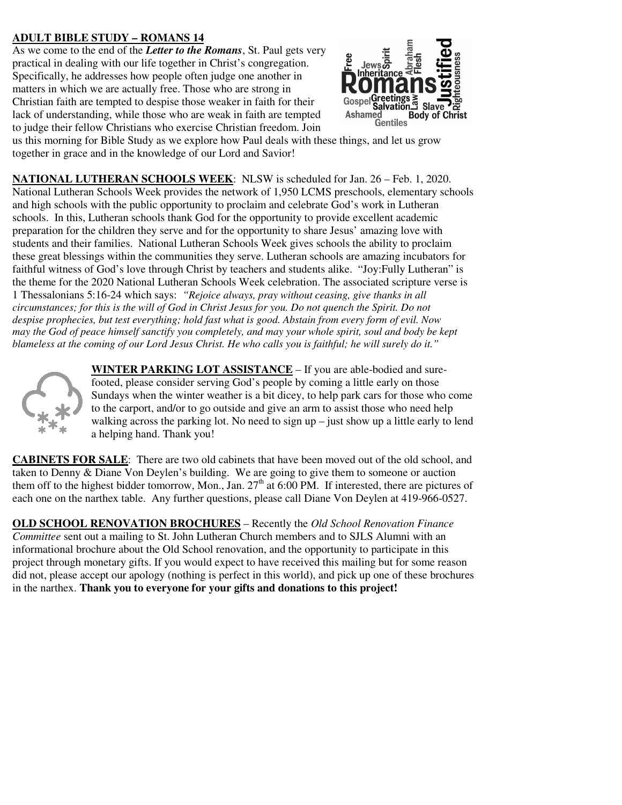# **ADULT BIBLE STUDY – ROMANS 14**

As we come to the end of the *Letter to the Romans*, St. Paul gets very practical in dealing with our life together in Christ's congregation. Specifically, he addresses how people often judge one another in matters in which we are actually free. Those who are strong in Christian faith are tempted to despise those weaker in faith for their lack of understanding, while those who are weak in faith are tempted to judge their fellow Christians who exercise Christian freedom. Join



us this morning for Bible Study as we explore how Paul deals with these things, and let us grow together in grace and in the knowledge of our Lord and Savior!

**NATIONAL LUTHERAN SCHOOLS WEEK**: NLSW is scheduled for Jan. 26 – Feb. 1, 2020. National Lutheran Schools Week provides the network of 1,950 LCMS preschools, elementary schools and high schools with the public opportunity to proclaim and celebrate God's work in Lutheran schools. In this, Lutheran schools thank God for the opportunity to provide excellent academic preparation for the children they serve and for the opportunity to share Jesus' amazing love with students and their families. National Lutheran Schools Week gives schools the ability to proclaim these great blessings within the communities they serve. Lutheran schools are amazing incubators for faithful witness of God's love through Christ by teachers and students alike. "Joy:Fully Lutheran" is the theme for the 2020 National Lutheran Schools Week celebration. The associated scripture verse is 1 Thessalonians 5:16-24 which says: *"Rejoice always, pray without ceasing, give thanks in all circumstances; for this is the will of God in Christ Jesus for you. Do not quench the Spirit. Do not despise prophecies, but test everything; hold fast what is good. Abstain from every form of evil. Now may the God of peace himself sanctify you completely, and may your whole spirit, soul and body be kept blameless at the coming of our Lord Jesus Christ. He who calls you is faithful; he will surely do it."*



**WINTER PARKING LOT ASSISTANCE** – If you are able-bodied and surefooted, please consider serving God's people by coming a little early on those Sundays when the winter weather is a bit dicey, to help park cars for those who come to the carport, and/or to go outside and give an arm to assist those who need help walking across the parking lot. No need to sign up – just show up a little early to lend a helping hand. Thank you!

**CABINETS FOR SALE**: There are two old cabinets that have been moved out of the old school, and taken to Denny & Diane Von Deylen's building. We are going to give them to someone or auction them off to the highest bidder tomorrow, Mon., Jan.  $27<sup>th</sup>$  at 6:00 PM. If interested, there are pictures of each one on the narthex table. Any further questions, please call Diane Von Deylen at 419-966-0527.

**OLD SCHOOL RENOVATION BROCHURES** – Recently the *Old School Renovation Finance Committee* sent out a mailing to St. John Lutheran Church members and to SJLS Alumni with an informational brochure about the Old School renovation, and the opportunity to participate in this project through monetary gifts. If you would expect to have received this mailing but for some reason did not, please accept our apology (nothing is perfect in this world), and pick up one of these brochures in the narthex. **Thank you to everyone for your gifts and donations to this project!**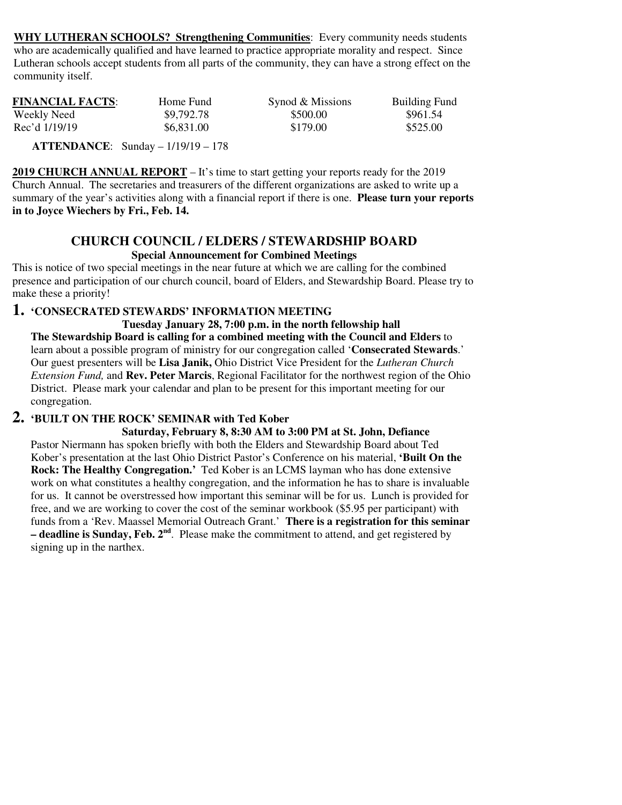**WHY LUTHERAN SCHOOLS? Strengthening Communities**: Every community needs students who are academically qualified and have learned to practice appropriate morality and respect. Since Lutheran schools accept students from all parts of the community, they can have a strong effect on the community itself.

| <b>FINANCIAL FACTS:</b> | Home Fund  | Synod & Missions | <b>Building Fund</b> |
|-------------------------|------------|------------------|----------------------|
| Weekly Need             | \$9,792.78 | \$500.00         | \$961.54             |
| Rec'd 1/19/19           | \$6,831.00 | \$179.00         | \$525.00             |

 **ATTENDANCE**: Sunday – 1/19/19 – 178

**2019 CHURCH ANNUAL REPORT** – It's time to start getting your reports ready for the 2019 Church Annual. The secretaries and treasurers of the different organizations are asked to write up a summary of the year's activities along with a financial report if there is one. **Please turn your reports in to Joyce Wiechers by Fri., Feb. 14.** 

#### **CHURCH COUNCIL / ELDERS / STEWARDSHIP BOARD Special Announcement for Combined Meetings**

This is notice of two special meetings in the near future at which we are calling for the combined presence and participation of our church council, board of Elders, and Stewardship Board. Please try to make these a priority!

## **1. 'CONSECRATED STEWARDS' INFORMATION MEETING**

**Tuesday January 28, 7:00 p.m. in the north fellowship hall The Stewardship Board is calling for a combined meeting with the Council and Elders** to learn about a possible program of ministry for our congregation called '**Consecrated Stewards**.' Our guest presenters will be **Lisa Janik,** Ohio District Vice President for the *Lutheran Church Extension Fund,* and **Rev. Peter Marcis**, Regional Facilitator for the northwest region of the Ohio District. Please mark your calendar and plan to be present for this important meeting for our congregation.

# **2. 'BUILT ON THE ROCK' SEMINAR with Ted Kober**

 **Saturday, February 8, 8:30 AM to 3:00 PM at St. John, Defiance**  Pastor Niermann has spoken briefly with both the Elders and Stewardship Board about Ted Kober's presentation at the last Ohio District Pastor's Conference on his material, **'Built On the Rock: The Healthy Congregation.'** Ted Kober is an LCMS layman who has done extensive work on what constitutes a healthy congregation, and the information he has to share is invaluable for us. It cannot be overstressed how important this seminar will be for us. Lunch is provided for free, and we are working to cover the cost of the seminar workbook (\$5.95 per participant) with funds from a 'Rev. Maassel Memorial Outreach Grant.' **There is a registration for this seminar – deadline is Sunday, Feb. 2nd**. Please make the commitment to attend, and get registered by signing up in the narthex.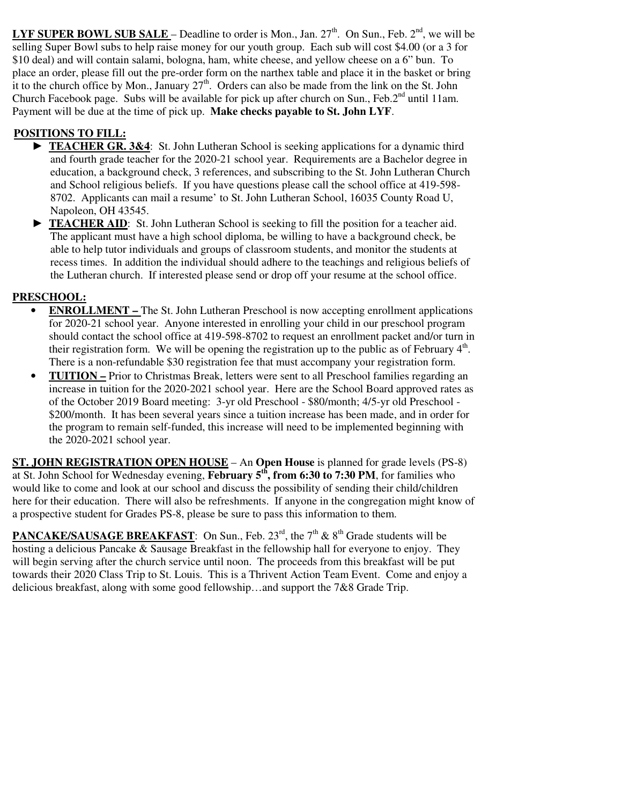**LYF SUPER BOWL SUB SALE** – Deadline to order is Mon., Jan.  $27<sup>th</sup>$ . On Sun., Feb.  $2<sup>nd</sup>$ , we will be selling Super Bowl subs to help raise money for our youth group. Each sub will cost \$4.00 (or a 3 for \$10 deal) and will contain salami, bologna, ham, white cheese, and yellow cheese on a 6" bun. To place an order, please fill out the pre-order form on the narthex table and place it in the basket or bring it to the church office by Mon., January  $27<sup>th</sup>$ . Orders can also be made from the link on the St. John Church Facebook page. Subs will be available for pick up after church on Sun., Feb.  $2<sup>nd</sup>$  until 11am. Payment will be due at the time of pick up. **Make checks payable to St. John LYF**.

# **POSITIONS TO FILL:**

- ► **TEACHER GR. 3&4**: St. John Lutheran School is seeking applications for a dynamic third and fourth grade teacher for the 2020-21 school year. Requirements are a Bachelor degree in education, a background check, 3 references, and subscribing to the St. John Lutheran Church and School religious beliefs. If you have questions please call the school office at 419-598- 8702. Applicants can mail a resume' to St. John Lutheran School, 16035 County Road U, Napoleon, OH 43545.
- **TEACHER AID:** St. John Lutheran School is seeking to fill the position for a teacher aid. The applicant must have a high school diploma, be willing to have a background check, be able to help tutor individuals and groups of classroom students, and monitor the students at recess times. In addition the individual should adhere to the teachings and religious beliefs of the Lutheran church. If interested please send or drop off your resume at the school office.

### **PRESCHOOL:**

- **ENROLLMENT** The St. John Lutheran Preschool is now accepting enrollment applications for 2020-21 school year. Anyone interested in enrolling your child in our preschool program should contact the school office at 419-598-8702 to request an enrollment packet and/or turn in their registration form. We will be opening the registration up to the public as of February  $4<sup>th</sup>$ . There is a non-refundable \$30 registration fee that must accompany your registration form.
- **TUITION** Prior to Christmas Break, letters were sent to all Preschool families regarding an increase in tuition for the 2020-2021 school year. Here are the School Board approved rates as of the October 2019 Board meeting: 3-yr old Preschool - \$80/month; 4/5-yr old Preschool - \$200/month. It has been several years since a tuition increase has been made, and in order for the program to remain self-funded, this increase will need to be implemented beginning with the 2020-2021 school year.

**ST. JOHN REGISTRATION OPEN HOUSE** – An **Open House** is planned for grade levels (PS-8) at St. John School for Wednesday evening, **February 5th, from 6:30 to 7:30 PM**, for families who would like to come and look at our school and discuss the possibility of sending their child/children here for their education. There will also be refreshments. If anyone in the congregation might know of a prospective student for Grades PS-8, please be sure to pass this information to them.

**PANCAKE/SAUSAGE BREAKFAST:** On Sun., Feb. 23<sup>rd</sup>, the  $7<sup>th</sup>$  &  $8<sup>th</sup>$  Grade students will be hosting a delicious Pancake & Sausage Breakfast in the fellowship hall for everyone to enjoy. They will begin serving after the church service until noon. The proceeds from this breakfast will be put towards their 2020 Class Trip to St. Louis. This is a Thrivent Action Team Event. Come and enjoy a delicious breakfast, along with some good fellowship…and support the 7&8 Grade Trip.